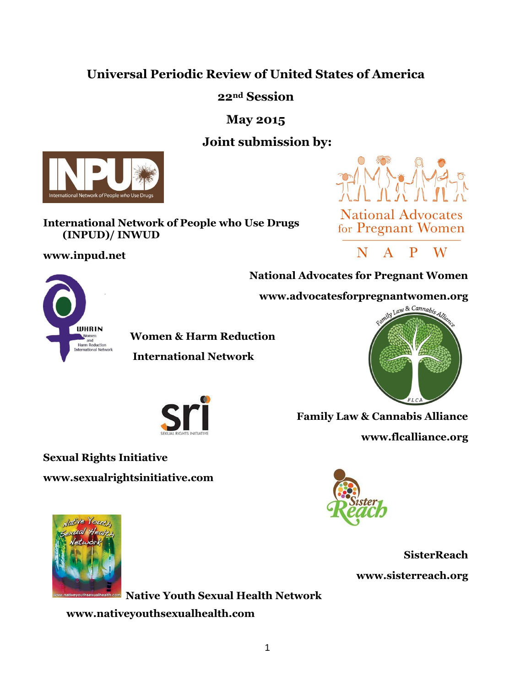# **Universal Periodic Review of United States of America**

**22nd Session**

**May 2015**

# **Joint submission by:**



#### **International Network of People who Use Drugs (INPUD)/ INWUD**

**www.inpud.net**





**National Advocates for Pregnant Women** 





**WOMER & Harm Reduction**<br>
Harm Reduction<br> **REGINERING AND REDUCTION** 

 **International Network**



 **Family Law & Cannabis Alliance [www.flcalliance.org](http://www.flcalliance.org/)**





**SisterReach [www.sisterreach.org](http://www.sisterreach.org/)**

**Native Youth Sexual Health Network www.nativeyouthsexualhealth.com**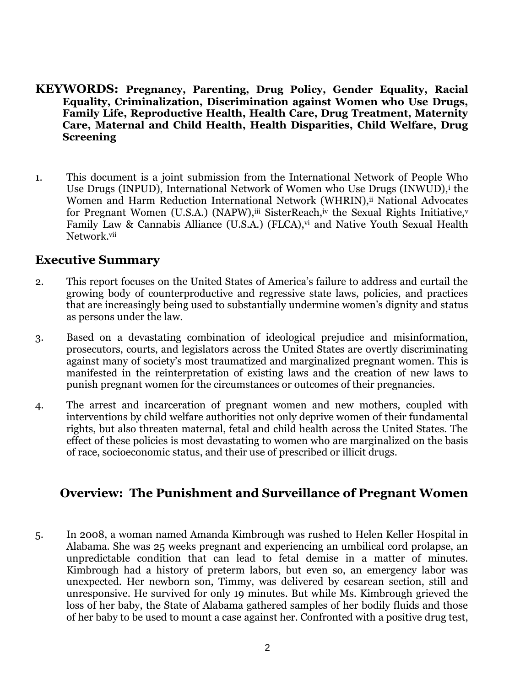#### **KEYWORDS: Pregnancy, Parenting, Drug Policy, Gender Equality, Racial Equality, Criminalization, Discrimination against Women who Use Drugs, Family Life, Reproductive Health, Health Care, Drug Treatment, Maternity Care, Maternal and Child Health, Health Disparities, Child Welfare, Drug Screening**

1. This document is a joint submission from the International Network of People Who Use Drugs (INPUD), International Network of Women who Use Drugs (INWUD), the Women and Harm Reduction International Network (WHRIN), ii National Advocates for Pregnant Women (U.S.A.) (NAPW), iii SisterReach, iv the Sexual Rights Initiative, v Family Law & Cannabis Alliance (U.S.A.) (FLCA),<sup>vi</sup> and Native Youth Sexual Health Network.vii

### **Executive Summary**

- 2. This report focuses on the United States of America's failure to address and curtail the growing body of counterproductive and regressive state laws, policies, and practices that are increasingly being used to substantially undermine women's dignity and status as persons under the law.
- 3. Based on a devastating combination of ideological prejudice and misinformation, prosecutors, courts, and legislators across the United States are overtly discriminating against many of society's most traumatized and marginalized pregnant women. This is manifested in the reinterpretation of existing laws and the creation of new laws to punish pregnant women for the circumstances or outcomes of their pregnancies.
- 4. The arrest and incarceration of pregnant women and new mothers, coupled with interventions by child welfare authorities not only deprive women of their fundamental rights, but also threaten maternal, fetal and child health across the United States. The effect of these policies is most devastating to women who are marginalized on the basis of race, socioeconomic status, and their use of prescribed or illicit drugs.

## **Overview: The Punishment and Surveillance of Pregnant Women**

5. In 2008, a woman named Amanda Kimbrough was rushed to Helen Keller Hospital in Alabama. She was 25 weeks pregnant and experiencing an umbilical cord prolapse, an unpredictable condition that can lead to fetal demise in a matter of minutes. Kimbrough had a history of preterm labors, but even so, an emergency labor was unexpected. Her newborn son, Timmy, was delivered by cesarean section, still and unresponsive. He survived for only 19 minutes. But while Ms. Kimbrough grieved the loss of her baby, the State of Alabama gathered samples of her bodily fluids and those of her baby to be used to mount a case against her. Confronted with a positive drug test,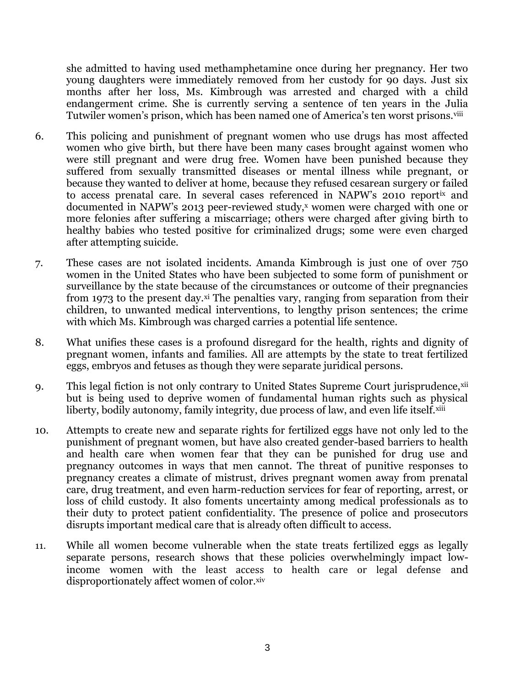she admitted to having used methamphetamine once during her pregnancy. Her two young daughters were immediately removed from her custody for 90 days. Just six months after her loss, Ms. Kimbrough was arrested and charged with a child endangerment crime. She is currently serving a sentence of ten years in the Julia Tutwiler women's prison, which has been named one of America's ten worst prisons.viii

- 6. This policing and punishment of pregnant women who use drugs has most affected women who give birth, but there have been many cases brought against women who were still pregnant and were drug free. Women have been punished because they suffered from sexually transmitted diseases or mental illness while pregnant, or because they wanted to deliver at home, because they refused cesarean surgery or failed to access prenatal care. In several cases referenced in NAPW's 2010 reportix and documented in NAPW's 2013 peer-reviewed study,<sup>x</sup> women were charged with one or more felonies after suffering a miscarriage; others were charged after giving birth to healthy babies who tested positive for criminalized drugs; some were even charged after attempting suicide.
- 7. These cases are not isolated incidents. Amanda Kimbrough is just one of over 750 women in the United States who have been subjected to some form of punishment or surveillance by the state because of the circumstances or outcome of their pregnancies from 1973 to the present day.xi The penalties vary, ranging from separation from their children, to unwanted medical interventions, to lengthy prison sentences; the crime with which Ms. Kimbrough was charged carries a potential life sentence.
- 8. What unifies these cases is a profound disregard for the health, rights and dignity of pregnant women, infants and families. All are attempts by the state to treat fertilized eggs, embryos and fetuses as though they were separate juridical persons.
- 9. This legal fiction is not only contrary to United States Supreme Court jurisprudence, xii but is being used to deprive women of fundamental human rights such as physical liberty, bodily autonomy, family integrity, due process of law, and even life itself.xiii
- 10. Attempts to create new and separate rights for fertilized eggs have not only led to the punishment of pregnant women, but have also created gender-based barriers to health and health care when women fear that they can be punished for drug use and pregnancy outcomes in ways that men cannot. The threat of punitive responses to pregnancy creates a climate of mistrust, drives pregnant women away from prenatal care, drug treatment, and even harm-reduction services for fear of reporting, arrest, or loss of child custody. It also foments uncertainty among medical professionals as to their duty to protect patient confidentiality. The presence of police and prosecutors disrupts important medical care that is already often difficult to access.
- 11. While all women become vulnerable when the state treats fertilized eggs as legally separate persons, research shows that these policies overwhelmingly impact lowincome women with the least access to health care or legal defense and disproportionately affect women of color.xiv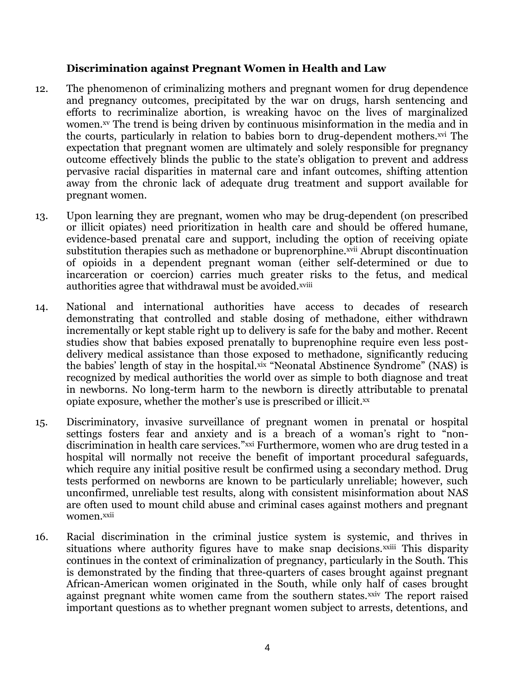#### **Discrimination against Pregnant Women in Health and Law**

- 12. The phenomenon of criminalizing mothers and pregnant women for drug dependence and pregnancy outcomes, precipitated by the war on drugs, harsh sentencing and efforts to recriminalize abortion, is wreaking havoc on the lives of marginalized women.<sup>xv</sup> The trend is being driven by continuous misinformation in the media and in the courts, particularly in relation to babies born to drug-dependent mothers.xvi The expectation that pregnant women are ultimately and solely responsible for pregnancy outcome effectively blinds the public to the state's obligation to prevent and address pervasive racial disparities in maternal care and infant outcomes, shifting attention away from the chronic lack of adequate drug treatment and support available for pregnant women.
- 13. Upon learning they are pregnant, women who may be drug-dependent (on prescribed or illicit opiates) need prioritization in health care and should be offered humane, evidence-based prenatal care and support, including the option of receiving opiate substitution therapies such as methadone or buprenorphine.<sup>xvii</sup> Abrupt discontinuation of opioids in a dependent pregnant woman (either self-determined or due to incarceration or coercion) carries much greater risks to the fetus, and medical authorities agree that withdrawal must be avoided.xviii
- 14. National and international authorities have access to decades of research demonstrating that controlled and stable dosing of methadone, either withdrawn incrementally or kept stable right up to delivery is safe for the baby and mother. Recent studies show that babies exposed prenatally to buprenophine require even less postdelivery medical assistance than those exposed to methadone, significantly reducing the babies' length of stay in the hospital.xix "Neonatal Abstinence Syndrome" (NAS) is recognized by medical authorities the world over as simple to both diagnose and treat in newborns. No long-term harm to the newborn is directly attributable to prenatal opiate exposure, whether the mother's use is prescribed or illicit.<sup>xx</sup>
- 15. Discriminatory, invasive surveillance of pregnant women in prenatal or hospital settings fosters fear and anxiety and is a breach of a woman's right to "nondiscrimination in health care services."xxi Furthermore, women who are drug tested in a hospital will normally not receive the benefit of important procedural safeguards, which require any initial positive result be confirmed using a secondary method. Drug tests performed on newborns are known to be particularly unreliable; however, such unconfirmed, unreliable test results, along with consistent misinformation about NAS are often used to mount child abuse and criminal cases against mothers and pregnant women.xxii
- 16. Racial discrimination in the criminal justice system is systemic, and thrives in situations where authority figures have to make snap decisions.<sup>xxiii</sup> This disparity continues in the context of criminalization of pregnancy, particularly in the South. This is demonstrated by the finding that three-quarters of cases brought against pregnant African-American women originated in the South, while only half of cases brought against pregnant white women came from the southern states.xxiv The report raised important questions as to whether pregnant women subject to arrests, detentions, and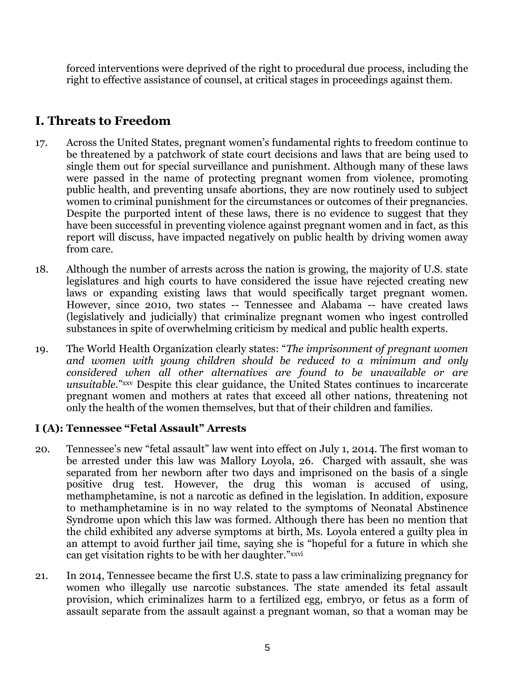forced interventions were deprived of the right to procedural due process, including the right to effective assistance of counsel, at critical stages in proceedings against them.

# **I. Threats to Freedom**

- 17. Across the United States, pregnant women's fundamental rights to freedom continue to be threatened by a patchwork of state court decisions and laws that are being used to single them out for special surveillance and punishment. Although many of these laws were passed in the name of protecting pregnant women from violence, promoting public health, and preventing unsafe abortions, they are now routinely used to subject women to criminal punishment for the circumstances or outcomes of their pregnancies. Despite the purported intent of these laws, there is no evidence to suggest that they have been successful in preventing violence against pregnant women and in fact, as this report will discuss, have impacted negatively on public health by driving women away from care.
- 18. Although the number of arrests across the nation is growing, the majority of U.S. state legislatures and high courts to have considered the issue have rejected creating new laws or expanding existing laws that would specifically target pregnant women. However, since 2010, two states -- Tennessee and Alabama -- have created laws (legislatively and judicially) that criminalize pregnant women who ingest controlled substances in spite of overwhelming criticism by medical and public health experts.
- 19. The World Health Organization clearly states: "*The imprisonment of pregnant women and women with young children should be reduced to a minimum and only considered when all other alternatives are found to be unavailable or are unsuitable*."xxv Despite this clear guidance, the United States continues to incarcerate pregnant women and mothers at rates that exceed all other nations, threatening not only the health of the women themselves, but that of their children and families.

### **I (A): Tennessee "Fetal Assault" Arrests**

- 20. Tennessee's new "fetal assault" law went into effect on July 1, 2014. The first woman to be arrested under this law was Mallory Loyola, 26. Charged with assault, she was separated from her newborn after two days and imprisoned on the basis of a single positive drug test. However, the drug this woman is accused of using, methamphetamine, is not a narcotic as defined in the legislation. In addition, exposure to methamphetamine is in no way related to the symptoms of Neonatal Abstinence Syndrome upon which this law was formed. Although there has been no mention that the child exhibited any adverse symptoms at birth, Ms. Loyola entered a guilty plea in an attempt to avoid further jail time, saying she is "hopeful for a future in which she can get visitation rights to be with her daughter."xxvi
- 21. In 2014, Tennessee became the first U.S. state to pass a law criminalizing pregnancy for women who illegally use narcotic substances. The state amended its fetal assault provision, which criminalizes harm to a fertilized egg, embryo, or fetus as a form of assault separate from the assault against a pregnant woman, so that a woman may be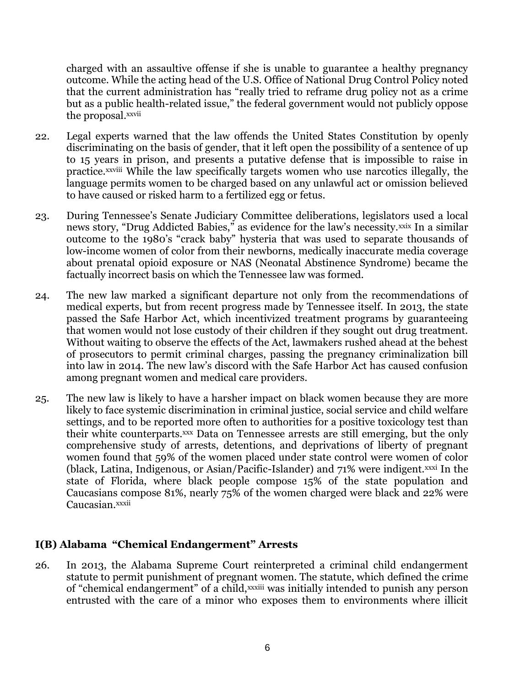charged with an assaultive offense if she is unable to guarantee a healthy pregnancy outcome. While the acting head of the U.S. Office of National Drug Control Policy noted that the current administration has "really tried to reframe drug policy not as a crime but as a public health-related issue," the federal government would not publicly oppose the proposal.xxvii

- 22. Legal experts warned that the law offends the United States Constitution by openly discriminating on the basis of gender, that it left open the possibility of a sentence of up to 15 years in prison, and presents a putative defense that is impossible to raise in practice.xxviii While the law specifically targets women who use narcotics illegally, the language permits women to be charged based on any unlawful act or omission believed to have caused or risked harm to a fertilized egg or fetus.
- 23. During Tennessee's Senate Judiciary Committee deliberations, legislators used a local news story, "Drug Addicted Babies," as evidence for the law's necessity.xxix In a similar outcome to the 1980's "crack baby" hysteria that was used to separate thousands of low-income women of color from their newborns, medically inaccurate media coverage about prenatal opioid exposure or NAS (Neonatal Abstinence Syndrome) became the factually incorrect basis on which the Tennessee law was formed.
- 24. The new law marked a significant departure not only from the recommendations of medical experts, but from recent progress made by Tennessee itself. In 2013, the state passed the Safe Harbor Act, which incentivized treatment programs by guaranteeing that women would not lose custody of their children if they sought out drug treatment. Without waiting to observe the effects of the Act, lawmakers rushed ahead at the behest of prosecutors to permit criminal charges, passing the pregnancy criminalization bill into law in 2014. The new law's discord with the Safe Harbor Act has caused confusion among pregnant women and medical care providers.
- 25. The new law is likely to have a harsher impact on black women because they are more likely to face systemic discrimination in criminal justice, social service and child welfare settings, and to be reported more often to authorities for a positive toxicology test than their white counterparts.xxx Data on Tennessee arrests are still emerging, but the only comprehensive study of arrests, detentions, and deprivations of liberty of pregnant women found that 59% of the women placed under state control were women of color (black, Latina, Indigenous, or Asian/Pacific-Islander) and 71% were indigent.xxxi In the state of Florida, where black people compose 15% of the state population and Caucasians compose 81%, nearly 75% of the women charged were black and 22% were Caucasian.xxxii

#### **I(B) Alabama "Chemical Endangerment" Arrests**

26. In 2013, the Alabama Supreme Court reinterpreted a criminal child endangerment statute to permit punishment of pregnant women. The statute, which defined the crime of "chemical endangerment" of a child, xxxiii was initially intended to punish any person entrusted with the care of a minor who exposes them to environments where illicit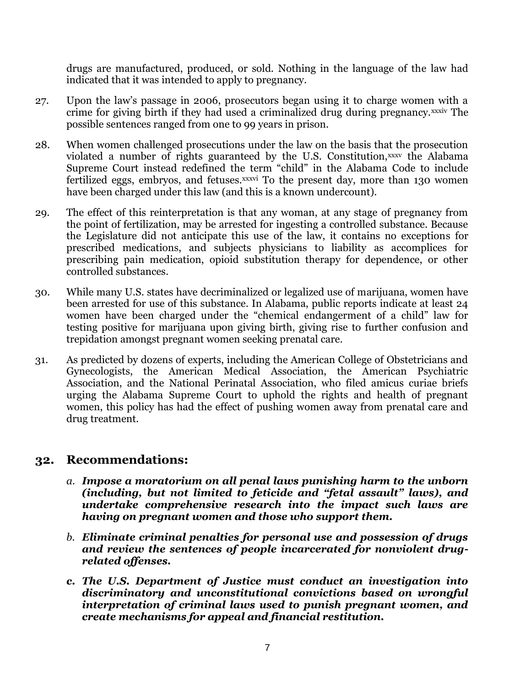drugs are manufactured, produced, or sold. Nothing in the language of the law had indicated that it was intended to apply to pregnancy.

- 27. Upon the law's passage in 2006, prosecutors began using it to charge women with a crime for giving birth if they had used a criminalized drug during pregnancy.xxxiv The possible sentences ranged from one to 99 years in prison.
- 28. When women challenged prosecutions under the law on the basis that the prosecution violated a number of rights guaranteed by the U.S. Constitution,xxxv the Alabama Supreme Court instead redefined the term "child" in the Alabama Code to include fertilized eggs, embryos, and fetuses.xxxvi To the present day, more than 130 women have been charged under this law (and this is a known undercount).
- 29. The effect of this reinterpretation is that any woman, at any stage of pregnancy from the point of fertilization, may be arrested for ingesting a controlled substance. Because the Legislature did not anticipate this use of the law, it contains no exceptions for prescribed medications, and subjects physicians to liability as accomplices for prescribing pain medication, opioid substitution therapy for dependence, or other controlled substances.
- 30. While many U.S. states have decriminalized or legalized use of marijuana, women have been arrested for use of this substance. In Alabama, public reports indicate at least 24 women have been charged under the "chemical endangerment of a child" law for testing positive for marijuana upon giving birth, giving rise to further confusion and trepidation amongst pregnant women seeking prenatal care.
- 31. As predicted by dozens of experts, including the American College of Obstetricians and Gynecologists, the American Medical Association, the American Psychiatric Association, and the National Perinatal Association, who filed amicus curiae briefs urging the Alabama Supreme Court to uphold the rights and health of pregnant women, this policy has had the effect of pushing women away from prenatal care and drug treatment.

### **32. Recommendations:**

- *a. Impose a moratorium on all penal laws punishing harm to the unborn (including, but not limited to feticide and "fetal assault" laws), and undertake comprehensive research into the impact such laws are having on pregnant women and those who support them.*
- *b. Eliminate criminal penalties for personal use and possession of drugs and review the sentences of people incarcerated for nonviolent drugrelated offenses.*
- *c. The U.S. Department of Justice must conduct an investigation into discriminatory and unconstitutional convictions based on wrongful interpretation of criminal laws used to punish pregnant women, and create mechanisms for appeal and financial restitution.*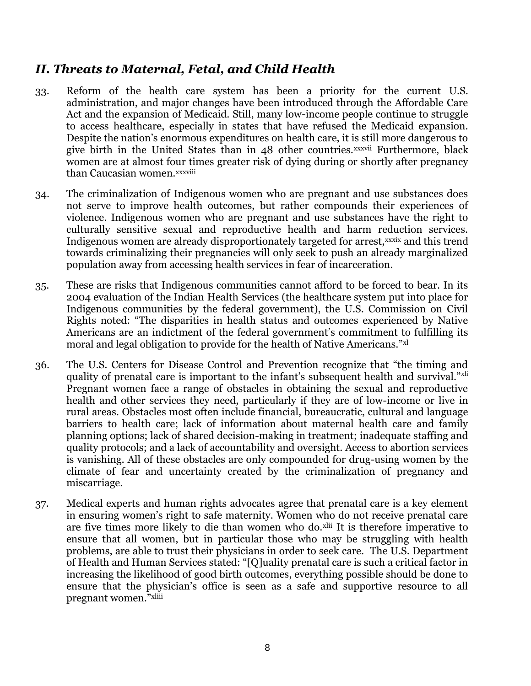## *II. Threats to Maternal, Fetal, and Child Health*

- 33. Reform of the health care system has been a priority for the current U.S. administration, and major changes have been introduced through the Affordable Care Act and the expansion of Medicaid. Still, many low-income people continue to struggle to access healthcare, especially in states that have refused the Medicaid expansion. Despite the nation's enormous expenditures on health care, it is still more dangerous to give birth in the United States than in 48 other countries.xxxvii Furthermore, black women are at almost four times greater risk of dying during or shortly after pregnancy than Caucasian women.xxxviii
- 34. The criminalization of Indigenous women who are pregnant and use substances does not serve to improve health outcomes, but rather compounds their experiences of violence. Indigenous women who are pregnant and use substances have the right to culturally sensitive sexual and reproductive health and harm reduction services. Indigenous women are already disproportionately targeted for arrest, xxxix and this trend towards criminalizing their pregnancies will only seek to push an already marginalized population away from accessing health services in fear of incarceration.
- 35. These are risks that Indigenous communities cannot afford to be forced to bear. In its 2004 evaluation of the Indian Health Services (the healthcare system put into place for Indigenous communities by the federal government), the U.S. Commission on Civil Rights noted: "The disparities in health status and outcomes experienced by Native Americans are an indictment of the federal government's commitment to fulfilling its moral and legal obligation to provide for the health of Native Americans."xl
- 36. The U.S. Centers for Disease Control and Prevention recognize that "the timing and quality of prenatal care is important to the infant's subsequent health and survival."xli Pregnant women face a range of obstacles in obtaining the sexual and reproductive health and other services they need, particularly if they are of low-income or live in rural areas. Obstacles most often include financial, bureaucratic, cultural and language barriers to health care; lack of information about maternal health care and family planning options; lack of shared decision-making in treatment; inadequate staffing and quality protocols; and a lack of accountability and oversight. Access to abortion services is vanishing. All of these obstacles are only compounded for drug-using women by the climate of fear and uncertainty created by the criminalization of pregnancy and miscarriage.
- 37. Medical experts and human rights advocates agree that prenatal care is a key element in ensuring women's right to safe maternity. Women who do not receive prenatal care are five times more likely to die than women who do.xlii It is therefore imperative to ensure that all women, but in particular those who may be struggling with health problems, are able to trust their physicians in order to seek care. The U.S. Department of Health and Human Services stated: "[Q]uality prenatal care is such a critical factor in increasing the likelihood of good birth outcomes, everything possible should be done to ensure that the physician's office is seen as a safe and supportive resource to all pregnant women."xliii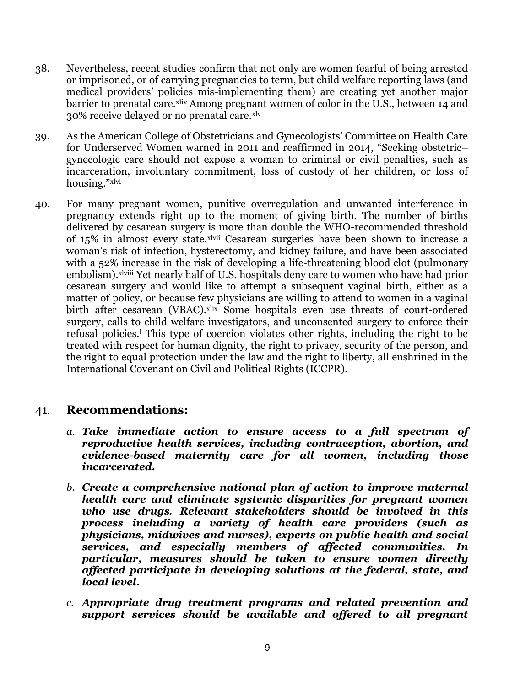- 38. Nevertheless, recent studies confirm that not only are women fearful of being arrested or imprisoned, or of carrying pregnancies to term, but child welfare reporting laws (and medical providers' policies mis-implementing them) are creating yet another major barrier to prenatal care.<sup>xliv</sup> Among pregnant women of color in the U.S., between 14 and 30% receive delayed or no prenatal care.<sup>xlv</sup>
- 39. As the American College of Obstetricians and Gynecologists' Committee on Health Care for Underserved Women warned in 2011 and reaffirmed in 2014, ["](http://www.acog.org/Resources_And_Publications/Committee_Opinions/Committee_on_Health_Care_for_Underserved_Women/Substance_Abuse_Reporting_and_Pregnancy_The_Role_of_the_Obstetrician_Gynecologist)Seeking obstetric– gynecologic care should not expose a woman to criminal or civil penalties, such as incarceration, involuntary commitment, loss of custody of her children, or loss of housing."xlvi
- 40. For many pregnant women, punitive overregulation and unwanted interference in pregnancy extends right up to the moment of giving birth. The number of births delivered by cesarean surgery is more than double the WHO-recommended threshold of 15% in almost every state.xlvii Cesarean surgeries have been shown to increase a woman's risk of infection, hysterectomy, and kidney failure, and have been associated with a 52% increase in the risk of developing a life-threatening blood clot (pulmonary embolism).<sup>xlviii</sup> Yet nearly half of U.S. hospitals deny care to women who have had prior cesarean surgery and would like to attempt a subsequent vaginal birth, either as a matter of policy, or because few physicians are willing to attend to women in a vaginal birth after cesarean (VBAC).<sup>xlix</sup> Some hospitals even use threats of court-ordered surgery, calls to child welfare investigators, and unconsented surgery to enforce their refusal policies.<sup>l</sup> This type of coercion violates other rights, including the right to be treated with respect for human dignity, the right to privacy, security of the person, and the right to equal protection under the law and the right to liberty, all enshrined in the International Covenant on Civil and Political Rights (ICCPR).

### 41. **Recommendations:**

- *a. Take immediate action to ensure access to a full spectrum of reproductive health services, including contraception, abortion, and evidence-based maternity care for all women, including those incarcerated.*
- *b. Create a comprehensive national plan of action to improve maternal health care and eliminate systemic disparities for pregnant women who use drugs. Relevant stakeholders should be involved in this process including a variety of health care providers (such as physicians, midwives and nurses), experts on public health and social services, and especially members of affected communities. In particular, measures should be taken to ensure women directly affected participate in developing solutions at the federal, state, and local level.*
- *c. Appropriate drug treatment programs and related prevention and support services should be available and offered to all pregnant*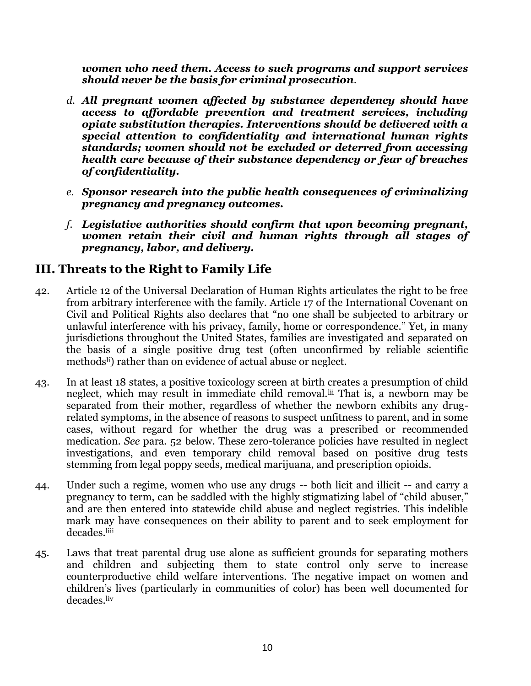*women who need them. Access to such programs and support services should never be the basis for criminal prosecution.*

- *d. All pregnant women affected by substance dependency should have access to affordable prevention and treatment services, including opiate substitution therapies. Interventions should be delivered with a special attention to confidentiality and international human rights standards; women should not be excluded or deterred from accessing health care because of their substance dependency or fear of breaches of confidentiality.*
- *e. Sponsor research into the public health consequences of criminalizing pregnancy and pregnancy outcomes.*
- *f. Legislative authorities should confirm that upon becoming pregnant, women retain their civil and human rights through all stages of pregnancy, labor, and delivery.*

## **III. Threats to the Right to Family Life**

- 42. Article 12 of the Universal Declaration of Human Rights articulates the right to be free from arbitrary interference with the family. Article 17 of the International Covenant on Civil and Political Rights also declares that "no one shall be subjected to arbitrary or unlawful interference with his privacy, family, home or correspondence." Yet, in many jurisdictions throughout the United States, families are investigated and separated on the basis of a single positive drug test (often unconfirmed by reliable scientific methods<sup>li</sup>) rather than on evidence of actual abuse or neglect.
- 43. In at least 18 states, a positive toxicology screen at birth creates a presumption of child neglect, which may result in immediate child removal.<sup>Iii</sup> That is, a newborn may be separated from their mother, regardless of whether the newborn exhibits any drugrelated symptoms, in the absence of reasons to suspect unfitness to parent, and in some cases, without regard for whether the drug was a prescribed or recommended medication. *See* para. 52 below. These zero-tolerance policies have resulted in neglect investigations, and even temporary child removal based on positive drug tests stemming [from legal poppy seeds,](http://reason.com/blog/2011/07/20/if-you-want-to-keep-your-baby) medical marijuana, and prescription opioids.
- 44. Under such a regime, women who use any drugs -- both licit and illicit -- and carry a pregnancy to term, can be saddled with the highly stigmatizing label of "child abuser," and are then entered into statewide child abuse and neglect registries. This indelible mark may have consequences on their ability to parent and to seek employment for decades.liii
- 45. Laws that treat parental drug use alone as sufficient grounds for separating mothers and children and subjecting them to state control only serve to increase counterproductive child welfare interventions. The negative impact on women and children's lives (particularly in communities of color) has been well documented for decades.liv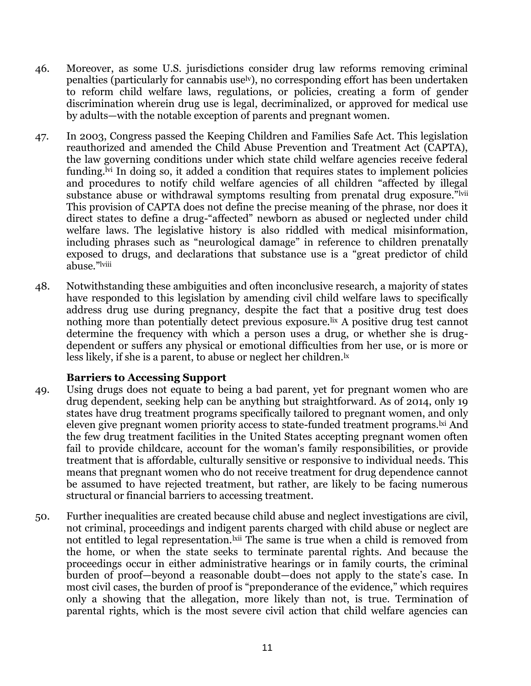- 46. Moreover, as some U.S. jurisdictions consider drug law reforms removing criminal penalties (particularly for cannabis uselv), no corresponding effort has been undertaken to reform child welfare laws, regulations, or policies, creating a form of gender discrimination wherein drug use is legal, decriminalized, or approved for medical use by adults—with the notable exception of parents and pregnant women.
- 47. In 2003, Congress passed the Keeping Children and Families Safe Act. This legislation reauthorized and amended the Child Abuse Prevention and Treatment Act (CAPTA), the law governing conditions under which state child welfare agencies receive federal funding.<sup>Ivi</sup> In doing so, it added a condition that requires states to implement policies and procedures to notify child welfare agencies of all children "affected by illegal substance abuse or withdrawal symptoms resulting from prenatal drug exposure."<sup>lvii</sup> This provision of CAPTA does not define the precise meaning of the phrase, nor does it direct states to define a drug-"affected" newborn as abused or neglected under child welfare laws. The legislative history is also riddled with medical misinformation, including phrases such as "neurological damage" in reference to children prenatally exposed to drugs, and declarations that substance use is a "great predictor of child abuse."lviii
- 48. Notwithstanding these ambiguities and often inconclusive research, a majority of states have responded to this legislation by amending civil child welfare laws to specifically address drug use during pregnancy, despite the fact that a positive drug test does nothing more than potentially detect previous exposure. It a positive drug test cannot determine the frequency with which a person uses a drug, or whether she is drugdependent or suffers any physical or emotional difficulties from her use, or is more or less likely, if she is a parent, to abuse or neglect her children.<sup>1x</sup>

#### **Barriers to Accessing Support**

- 49. Using drugs does not equate to being a bad parent, yet for pregnant women who are drug dependent, seeking help can be anything but straightforward. As of 2014, only 19 states have drug treatment programs specifically tailored to pregnant women, and only eleven give pregnant women priority access to state-funded treatment programs. Ixi And the few drug treatment facilities in the United States accepting pregnant women often fail to provide childcare, account for the woman's family responsibilities, or provide treatment that is affordable, culturally sensitive or responsive to individual needs. This means that pregnant women who do not receive treatment for drug dependence cannot be assumed to have rejected treatment, but rather, are likely to be facing numerous structural or financial barriers to accessing treatment.
- 50. Further inequalities are created because child abuse and neglect investigations are civil, not criminal, proceedings and indigent parents charged with child abuse or neglect are not entitled to legal representation.<sup>kii</sup> The same is true when a child is removed from the home, or when the state seeks to terminate parental rights. And because the proceedings occur in either administrative hearings or in family courts, the criminal burden of proof—beyond a reasonable doubt—does not apply to the state's case. In most civil cases, the burden of proof is "preponderance of the evidence," which requires only a showing that the allegation, more likely than not, is true. Termination of parental rights, which is the most severe civil action that child welfare agencies can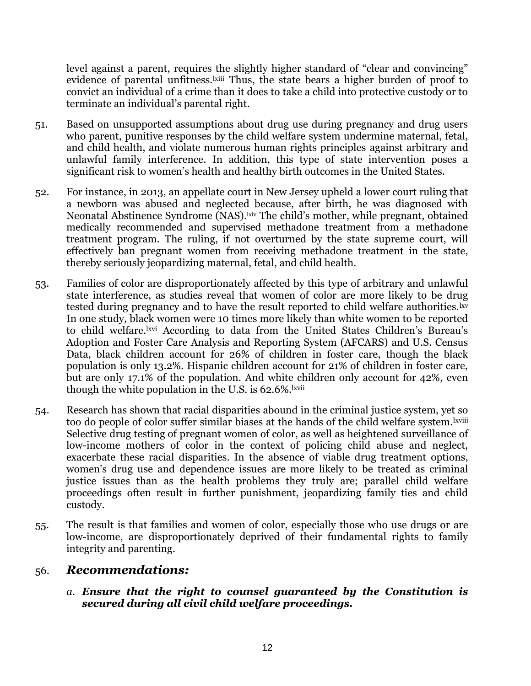level against a parent, requires the slightly higher standard of "clear and convincing" evidence of parental unfitness. Ixiii Thus, the state bears a higher burden of proof to convict an individual of a crime than it does to take a child into protective custody or to terminate an individual's parental right.

- 51. Based on unsupported assumptions about drug use during pregnancy and drug users who parent, punitive responses by the child welfare system undermine maternal, fetal, and child health, and violate numerous human rights principles against arbitrary and unlawful family interference. In addition, this type of state intervention poses a significant risk to women's health and healthy birth outcomes in the United States.
- 52. For instance, in 2013, an appellate court in New Jersey upheld a lower court ruling that a newborn was abused and neglected because, after birth, he was diagnosed with Neonatal Abstinence Syndrome (NAS).<sup>kiv</sup> The child's mother, while pregnant, obtained medically recommended and supervised methadone treatment from a methadone treatment program. The ruling, if not overturned by the state supreme court, will effectively ban pregnant women from receiving methadone treatment in the state, thereby seriously jeopardizing maternal, fetal, and child health.
- 53. Families of color are disproportionately affected by this type of arbitrary and unlawful state interference, as studies reveal that women of color are more likely to be drug tested during pregnancy and to have the result reported to child welfare authorities. I'v In one study, black women were 10 times more likely than white women to be reported to child welfare.lxvi According to data from the United States Children's Bureau's Adoption and Foster Care Analysis and Reporting System (AFCARS) and U.S. Census Data, black children account for 26% of children in foster care, though the black population is only 13.2%. Hispanic children account for 21% of children in foster care, but are only 17.1% of the population. And white children only account for 42%, even though the white population in the U.S. is 62.6%.<sup>lxvii</sup>
- 54. Research has shown that racial disparities abound in the criminal justice system, yet so too do people of color suffer similar biases at the hands of the child welfare system. Ixviii Selective drug testing of pregnant women of color, as well as heightened surveillance of low-income mothers of color in the context of policing child abuse and neglect, exacerbate these racial disparities. In the absence of viable drug treatment options, women's drug use and dependence issues are more likely to be treated as criminal justice issues than as the health problems they truly are; parallel child welfare proceedings often result in further punishment, jeopardizing family ties and child custody.
- 55. The result is that families and women of color, especially those who use drugs or are low-income, are disproportionately deprived of their fundamental rights to family integrity and parenting.

### 56. *Recommendations:*

*a. Ensure that the right to counsel guaranteed by the Constitution is secured during all civil child welfare proceedings.*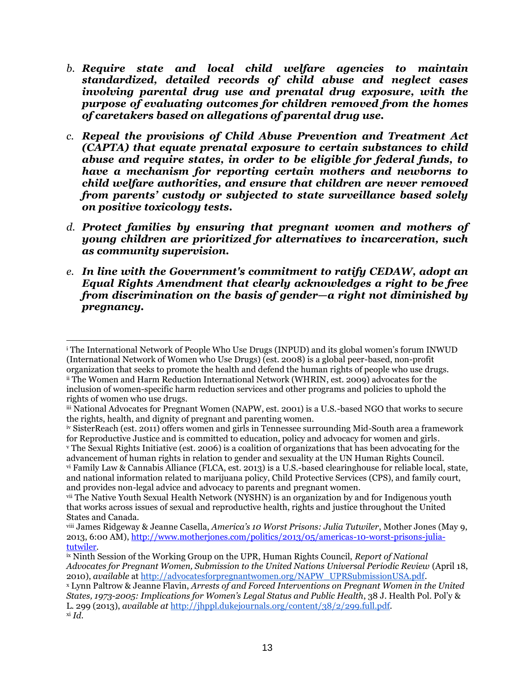- *b. Require state and local child welfare agencies to maintain standardized, detailed records of child abuse and neglect cases involving parental drug use and prenatal drug exposure, with the purpose of evaluating outcomes for children removed from the homes of caretakers based on allegations of parental drug use.*
- *c. Repeal the provisions of Child Abuse Prevention and Treatment Act (CAPTA) that equate prenatal exposure to certain substances to child abuse and require states, in order to be eligible for federal funds, to have a mechanism for reporting certain mothers and newborns to child welfare authorities, and ensure that children are never removed from parents' custody or subjected to state surveillance based solely on positive toxicology tests.*
- *d. Protect families by ensuring that pregnant women and mothers of young children are prioritized for alternatives to incarceration, such as community supervision.*
- *e. In line with the Government's commitment to ratify CEDAW, adopt an Equal Rights Amendment that clearly acknowledges a right to be free from discrimination on the basis of gender—a right not diminished by pregnancy.*

 $\overline{a}$ <sup>i</sup> The International Network of People Who Use Drugs (INPUD) and its global women's forum INWUD (International Network of Women who Use Drugs) (est. 2008) is a global peer-based, non-profit organization that seeks to promote the health and defend the human rights of people who use drugs.

ii The Women and Harm Reduction International Network (WHRIN, est. 2009) advocates for the inclusion of women-specific harm reduction services and other programs and policies to uphold the rights of women who use drugs.

iii National Advocates for Pregnant Women (NAPW, est. 2001) is a U.S.-based NGO that works to secure the rights, health, and dignity of pregnant and parenting women.

iv SisterReach (est. 2011) offers women and girls in Tennessee surrounding Mid-South area a framework for Reproductive Justice and is committed to education, policy and advocacy for women and girls.

<sup>v</sup> The Sexual Rights Initiative (est. 2006) is a coalition of organizations that has been advocating for the advancement of human rights in relation to gender and sexuality at the UN Human Rights Council. vi Family Law & Cannabis Alliance (FLCA, est. 2013) is a U.S.-based clearinghouse for reliable local, state, and national information related to marijuana policy, Child Protective Services (CPS), and family court, and provides non-legal advice and advocacy to parents and pregnant women.

vii The Native Youth Sexual Health Network (NYSHN) is an organization by and for Indigenous youth that works across issues of sexual and reproductive health, rights and justice throughout the United States and Canada.

viii James Ridgeway & Jeanne Casella, *America's 10 Worst Prisons: Julia Tutwiler*, Mother Jones (May 9, 2013, 6:00 AM)[, http://www.motherjones.com/politics/2013/05/americas-10-worst-prisons-julia](http://www.motherjones.com/politics/2013/05/americas-10-worst-prisons-julia-tutwiler)[tutwiler.](http://www.motherjones.com/politics/2013/05/americas-10-worst-prisons-julia-tutwiler)

ix Ninth Session of the Working Group on the UPR, Human Rights Council, *Report of National Advocates for Pregnant Women, Submission to the United Nations Universal Periodic Review* (April 18, 2010), *available* at [http://advocatesforpregnantwomen.org/NAPW\\_UPRSubmissionUSA.pdf.](http://advocatesforpregnantwomen.org/NAPW_UPRSubmissionUSA.pdf)

<sup>x</sup> Lynn Paltrow & Jeanne Flavin, *Arrests of and Forced Interventions on Pregnant Women in the United States, 1973-2005: Implications for Women's Legal Status and Public Health*, 38 J. Health Pol. Pol'y & L. 299 (2013), *available at* [http://jhppl.dukejournals.org/content/38/2/299.full.pdf.](http://jhppl.dukejournals.org/content/38/2/299.full.pdf+html?sid=b0811f36-d4e4-4b51-a830-e175e6eee40c) xi *Id.*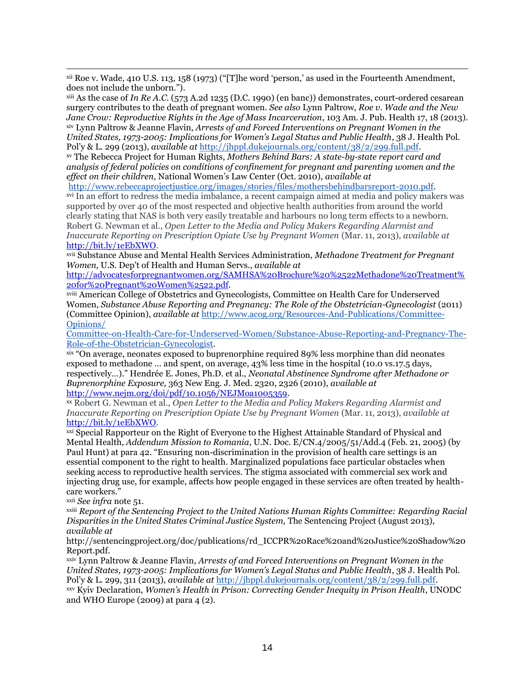xii Roe v. Wade, 410 U.S. 113, 158 (1973) ("[T]he word 'person,' as used in the Fourteenth Amendment, does not include the unborn.").

xiii As the case of *In Re A.C.* (573 A.2d 1235 (D.C. 1990) (en banc)) demonstrates, court-ordered cesarean surgery contributes to the death of pregnant women. *See also* Lynn Paltrow, *Roe v. Wade and the New Jane Crow: Reproductive Rights in the Age of Mass Incarceration*, 103 Am. J. Pub. Health 17, 18 (2013). xiv Lynn Paltrow & Jeanne Flavin, *Arrests of and Forced Interventions on Pregnant Women in the United States, 1973-2005: Implications for Women's Legal Status and Public Health*, 38 J. Health Pol. Pol'y & L. 299 (2013), *available at* [http://jhppl.dukejournals.org/content/38/2/299.full.pdf.](http://jhppl.dukejournals.org/content/38/2/299.full.pdf+html?sid=b0811f36-d4e4-4b51-a830-e175e6eee40c)

xv The Rebecca Project for Human Rights, *Mothers Behind Bars: A state-by-state report card and analysis of federal policies on conditions of confinement for pregnant and parenting women and the effect on their children,* National Women's Law Center (Oct. 2010), *available at*

[http://www.rebeccaprojectjustice.org/images/stories/files/mothersbehindbarsreport-2010.pdf.](http://www.rebeccaprojectjustice.org/images/stories/files/mothersbehindbarsreport-2010.pdf)

xvi In an effort to redress the media imbalance, a recent campaign aimed at media and policy makers was supported by over 40 of the most respected and objective health authorities from around the world clearly stating that NAS is both very easily treatable and harbours no long term effects to a newborn. Robert G. Newman et al., *Open Letter to the Media and Policy Makers Regarding Alarmist and Inaccurate Reporting on Prescription Opiate Use by Pregnant Women* (Mar. 11, 2013), *available at* [http://bit.ly/1eEbXWO.](http://bit.ly/1eEbXWO)

xvii Substance Abuse and Mental Health Services Administration*, Methadone Treatment for Pregnant Women,* U.S. Dep't of Health and Human Servs.*, available at* 

[http://advocatesforpregnantwomen.org/SAMHSA%20Brochure%20%2522Methadone%20Treatment%](http://advocatesforpregnantwomen.org/SAMHSA%20Brochure%20%2522Methadone%20Treatment%20for%20Pregnant%20Women%2522.pdf) [20for%20Pregnant%20Women%2522.pdf.](http://advocatesforpregnantwomen.org/SAMHSA%20Brochure%20%2522Methadone%20Treatment%20for%20Pregnant%20Women%2522.pdf)

xviii American College of Obstetrics and Gynecologists, Committee on Health Care for Underserved Women, *Substance Abuse Reporting and Pregnancy: The Role of the Obstetrician-Gynecologist* (2011) (Committee Opinion), *available a[t](http://www.acog.org/~/media/Committee%20Opinions/Committee%20on%20Health%20Care%20for%20Underserved%20Women/co473.pdf?dmc=1&ts=20140404T1719251026)* [http://www.acog.org/Resources-And-Publications/Committee-](http://www.acog.org/~/media/Committee%20Opinions/Committee%20on%20Health%20Care%20for%20Underserved%20Women/co473.pdf?dmc=1&ts=20140404T1719251026)[Opinions/](http://www.acog.org/Resources-And-Publications/Committee-Opinions/Committee-on-Health-Care-for-Underserved-Women/Substance-Abuse-Reporting-and-Pregnancy-The-Role-of-the-Obstetrician-Gynecologist)

[Committee-on-Health-Care-for-Underserved-Women/Substance-Abuse-Reporting-and-Pregnancy-The-](http://www.acog.org/Resources-And-Publications/Committee-Opinions/Committee-on-Health-Care-for-Underserved-Women/Substance-Abuse-Reporting-and-Pregnancy-The-Role-of-the-Obstetrician-Gynecologist)[Role-of-the-Obstetrician-Gynecologist.](http://www.acog.org/Resources-And-Publications/Committee-Opinions/Committee-on-Health-Care-for-Underserved-Women/Substance-Abuse-Reporting-and-Pregnancy-The-Role-of-the-Obstetrician-Gynecologist)

xix "On average, neonates exposed to buprenorphine required 89% less morphine than did neonates exposed to methadone … and spent, on average, 43% less time in the hospital (10.0 vs.17.5 days, respectively…)." Hendrée E. Jones, Ph.D. et al., *Neonatal Abstinence Syndrome after Methadone or Buprenorphine Exposure,* 363 New Eng. J. Med. 2320, 2326 (2010), *available at* [http://www.nejm.org/doi/pdf/10.1056/NEJMoa1005359.](http://www.nejm.org/doi/pdf/10.1056/NEJMoa1005359)

xx Robert G. Newman et al., *Open Letter to the Media and Policy Makers Regarding Alarmist and Inaccurate Reporting on Prescription Opiate Use by Pregnant Women* (Mar. 11, 2013), *available at* [http://bit.ly/1eEbXWO.](http://bit.ly/1eEbXWO)

xxi Special Rapporteur on the Right of Everyone to the Highest Attainable Standard of Physical and Mental Health, *Addendum Mission to Romania*, U.N. Doc. E/CN.4/2005/51/Add.4 (Feb. 21, 2005) (by Paul Hunt) at para 42. "Ensuring non-discrimination in the provision of health care settings is an essential component to the right to health. Marginalized populations face particular obstacles when seeking access to reproductive health services. The stigma associated with commercial sex work and injecting drug use, for example, affects how people engaged in these services are often treated by healthcare workers."

xxii *See infra* note 51.

xxiii *Report of the Sentencing Project to the United Nations Human Rights Committee: Regarding Racial Disparities in the United States Criminal Justice System,* The Sentencing Project (August 2013), *available at* 

[http://sentencingproject.org/doc/publications/rd\\_ICCPR%20Race%20and%20Justice%20Shadow%20](http://sentencingproject.org/doc/publications/rd_ICCPR%20Race%20and%20Justice%20Shadow%20Report.pdf) [Report.pdf.](http://sentencingproject.org/doc/publications/rd_ICCPR%20Race%20and%20Justice%20Shadow%20Report.pdf)

xxiv Lynn Paltrow & Jeanne Flavin, *Arrests of and Forced Interventions on Pregnant Women in the United States, 1973-2005: Implications for Women's Legal Status and Public Health*, 38 J. Health Pol. Pol'y & L. 299, 311 (2013), *available at* [http://jhppl.dukejournals.org/content/38/2/299.full.pdf.](http://jhppl.dukejournals.org/content/38/2/299.full.pdf+html?sid=b0811f36-d4e4-4b51-a830-e175e6eee40c)

xxv Kyiv Declaration, *Women's Health in Prison: Correcting Gender Inequity in Prison Health*, UNODC and WHO Europe (2009) at para 4 (2).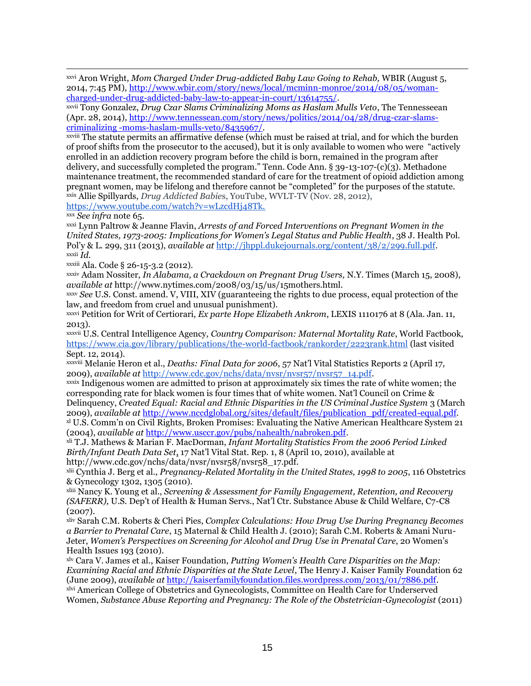xxvi Aron Wright, *Mom Charged Under Drug-addicted Baby Law Going to Rehab,* WBIR (August 5, 2014, 7:45 PM)*,* [http://www.wbir.com/story/news/local/mcminn-monroe/2014/08/05/woman](http://www.wbir.com/story/news/local/mcminn-monroe/2014/08/05/woman-charged-under-drug-addicted-baby-law-to-appear-in-court/13614755/)[charged-under-drug-addicted-baby-law-to-appear-in-court/13614755/.](http://www.wbir.com/story/news/local/mcminn-monroe/2014/08/05/woman-charged-under-drug-addicted-baby-law-to-appear-in-court/13614755/)

xxvii Tony Gonzalez, *Drug Czar Slams Criminalizing Moms as Haslam Mulls Veto*, The Tennesseean (Apr. 28, 2014), [http://www.tennessean.com/story/news/politics/2014/04/28/drug-czar-slams](http://www.tennessean.com/story/news/politics/2014/04/28/drug-czar-slams-criminalizing%20-moms-haslam-mulls-veto/8435967/)[criminalizing -moms-haslam-mulls-veto/8435967/.](http://www.tennessean.com/story/news/politics/2014/04/28/drug-czar-slams-criminalizing%20-moms-haslam-mulls-veto/8435967/)

xxviii The statute permits an affirmative defense (which must be raised at trial, and for which the burden of proof shifts from the prosecutor to the accused), but it is only available to women who were "actively enrolled in an addiction recovery program before the child is born, remained in the program after delivery, and successfully completed the program." Tenn. Code Ann. § 39-13-107-(c)(3). Methadone maintenance treatment, the recommended standard of care for the treatment of opioid addiction among pregnant women, may be lifelong and therefore cannot be "completed" for the purposes of the statute. xxix Allie Spillyards, *Drug Addicted Babie*s, YouTube, WVLT-TV (Nov. 28, 2012)[,](https://www.youtube.com/watch?v=wLzcdHj48Tk)

[https://www.youtube.com/watch?v=wLzcdHj48Tk.](https://www.youtube.com/watch?v=wLzcdHj48Tk)

xxx *See infra* note 65.

xxxi Lynn Paltrow & Jeanne Flavin, *Arrests of and Forced Interventions on Pregnant Women in the United States, 1973-2005: Implications for Women's Legal Status and Public Health*, 38 J. Health Pol. Pol'y & L. 299, 311 (2013), *available at* [http://jhppl.dukejournals.org/content/38/2/299.full.pdf.](http://jhppl.dukejournals.org/content/38/2/299.full.pdf+html?sid=b0811f36-d4e4-4b51-a830-e175e6eee40c) xxxii *Id.*

xxxiii Ala. Code § 26-15-3.2 (2012).

xxxiv Adam Nossiter, *In Alabama, a Crackdown on Pregnant Drug Users,* N.Y. Times (March 15, 2008), *available at* http://www.nytimes.com/2008/03/15/us/15mothers.html.

xxxv *See* U.S. Const. amend. V, VIII, XIV (guaranteeing the rights to due process, equal protection of the law, and freedom from cruel and unusual punishment).

xxxvi Petition for Writ of Certiorari, *Ex parte Hope Elizabeth Ankrom*, LEXIS 1110176 at 8 (Ala. Jan. 11, 2013).

xxxvii U.S. Central Intelligence Agency, *Country Comparison: Maternal Mortality Rate*, World Factbook, <https://www.cia.gov/library/publications/the-world-factbook/rankorder/2223rank.html> (last visited Sept. 12, 2014).

xxxviii Melanie Heron et al., *Deaths: Final Data for 2006*, 57 Nat'l Vital Statistics Reports 2 (April 17, 2009), *available at* [http://www.cdc.gov/nchs/data/nvsr/nvsr57/nvsr57\\_14.pdf.](http://www.google.com/url?q=http%3A%2F%2Fwww.cdc.gov%2Fnchs%2Fdata%2Fnvsr%2Fnvsr57%2Fnvsr57_14.pdf&sa=D&sntz=1&usg=AFQjCNGaxuNoMDaV5JCSh9i_Tv9QLYmu_A)

xxxix Indigenous women are admitted to prison at approximately six times the rate of white women; the corresponding rate for black women is four times that of white women. Nat'l Council on Crime & Delinquency, *Created Equal: Racial and Ethnic Disparities in the US Criminal Justice System* 3 (March 2009), *available at* [http://www.nccdglobal.org/sites/default/files/publication\\_pdf/created-equal.pdf](http://www.nccdglobal.org/sites/default/files/publication_pdf/created-equal.pdf)*.* xl U.S. Comm'n on Civil Rights, Broken Promises: Evaluating the Native American Healthcare System 21

(2004), *available at* [http://www.usccr.gov/pubs/nahealth/nabroken.pdf.](http://www.usccr.gov/pubs/nahealth/nabroken.pdf)

xli T.J. Mathews & Marian F. MacDorman, *Infant Mortality Statistics From the 2006 Period Linked Birth/Infant Death Data Set*, 17 Nat'l Vital Stat. Rep. 1, 8 (April 10, 2010), available at http://www.cdc.gov/nchs/data/nvsr/nvsr58/nvsr58\_17.pdf.

xlii Cynthia J. Berg et al., *Pregnancy-Related Mortality in the United States, 1998 to 2005*, 116 Obstetrics & Gynecology 1302, 1305 (2010).

xliii Nancy K. Young et al., *Screening & Assessment for Family Engagement, Retention, and Recovery (SAFERR),* U.S. Dep't of Health & Human Servs., Nat'l Ctr. Substance Abuse & Child Welfare, C7-C8 (2007).

xliv Sarah C.M. Roberts & Cheri Pies, *Complex Calculations: How Drug Use During Pregnancy Becomes a Barrier to Prenatal Care*, 15 Maternal & Child Health J. (2010); Sarah C.M. Roberts & Amani Nuru-Jeter, *Women's Perspectives on Screening for Alcohol and Drug Use in Prenatal Care*, 20 Women's Health Issues 193 (2010).

xlv Cara V. James et al., Kaiser Foundation, *Putting Women's Health Care Disparities on the Map: Examining Racial and Ethnic Disparities at the State Level*, The Henry J. Kaiser Family Foundation 62 (June 2009), *available at* [http://kaiserfamilyfoundation.files.wordpress.com/2013/01/7886.pdf.](http://kaiserfamilyfoundation.files.wordpress.com/2013/01/7886.pdf)

xlvi American College of Obstetrics and Gynecologists, Committee on Health Care for Underserved Women, *Substance Abuse Reporting and Pregnancy: The Role of the Obstetrician-Gynecologist* (2011)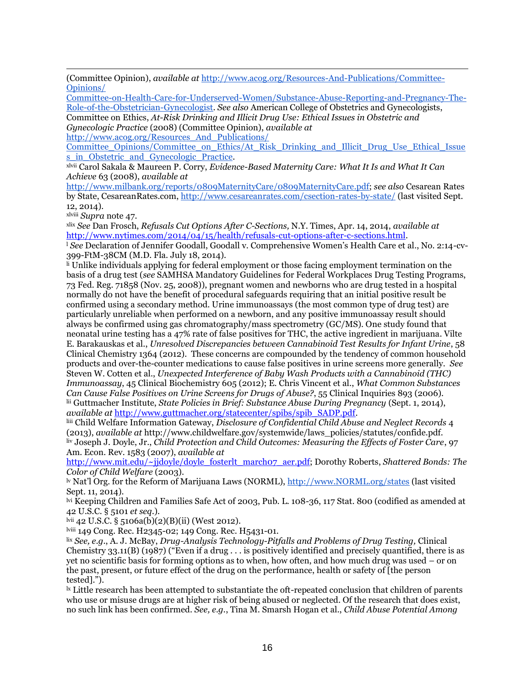(Committee Opinion), *available a[t](http://www.acog.org/~/media/Committee%20Opinions/Committee%20on%20Health%20Care%20for%20Underserved%20Women/co473.pdf?dmc=1&ts=20140404T1719251026)* [http://www.acog.org/Resources-And-Publications/Committee-](http://www.acog.org/~/media/Committee%20Opinions/Committee%20on%20Health%20Care%20for%20Underserved%20Women/co473.pdf?dmc=1&ts=20140404T1719251026)[Opinions/](http://www.acog.org/Resources-And-Publications/Committee-Opinions/Committee-on-Health-Care-for-Underserved-Women/Substance-Abuse-Reporting-and-Pregnancy-The-Role-of-the-Obstetrician-Gynecologist)

[Committee-on-Health-Care-for-Underserved-Women/Substance-Abuse-Reporting-and-Pregnancy-The-](http://www.acog.org/Resources-And-Publications/Committee-Opinions/Committee-on-Health-Care-for-Underserved-Women/Substance-Abuse-Reporting-and-Pregnancy-The-Role-of-the-Obstetrician-Gynecologist)[Role-of-the-Obstetrician-Gynecologist.](http://www.acog.org/Resources-And-Publications/Committee-Opinions/Committee-on-Health-Care-for-Underserved-Women/Substance-Abuse-Reporting-and-Pregnancy-The-Role-of-the-Obstetrician-Gynecologist) *See also* American College of Obstetrics and Gynecologists,

Committee on Ethics, *At-Risk Drinking and Illicit Drug Use: Ethical Issues in Obstetric and Gynecologic Practice* (2008) (Committee Opinion), *available at*

[http://www.acog.org/Resources\\_And\\_Publications/](http://www.acog.org/Resources_And_Publications/Committee_Opinions/Committee_on_Ethics/At_Risk_Drinking_and_Illicit_Drug_Use_Ethical_Issues_in_Obstetric_and_Gynecologic_Practice)

[Committee\\_Opinions/Committee\\_on\\_Ethics/At\\_Risk\\_Drinking\\_and\\_Illicit\\_Drug\\_Use\\_Ethical\\_Issue](http://www.acog.org/Resources_And_Publications/Committee_Opinions/Committee_on_Ethics/At_Risk_Drinking_and_Illicit_Drug_Use_Ethical_Issues_in_Obstetric_and_Gynecologic_Practice) s in Obstetric and Gynecologic Practice.

xlvii Carol Sakala & Maureen P. Corry, *Evidence-Based Maternity Care: What It Is and What It Can Achieve* 63 (2008), *available at*

[http://www.milbank.org/reports/0809MaternityCare/0809MaternityCare.pdf;](http://www.milbank.org/reports/0809MaternityCare/0809MaternityCare.pdf) *see also* Cesarean Rates by State, CesareanRates.com[, http://www.cesareanrates.com/csection-rates-by-state/](http://www.cesareanrates.com/csection-rates-by-state/) (last visited Sept. 12, 2014).

xlviii *Supra* note 47.

xlix *See* Dan Frosch, *Refusals Cut Options After C-Sections,* N.Y. Times, Apr. 14, 2014, *available at*  [http://www.nytimes.com/2014/04/15/health/refusals-cut-options-after-c-sections.html.](http://www.nytimes.com/2014/04/15/health/refusals-cut-options-after-c-sections.html)

<sup>l</sup> *See* Declaration of Jennifer Goodall, Goodall v. Comprehensive Women's Health Care et al., No. 2:14-cv-399-FtM-38CM (M.D. Fla. July 18, 2014).

li Unlike individuals applying for federal employment or those facing employment termination on the basis of a drug test (*see* SAMHSA Mandatory Guidelines for Federal Workplaces Drug Testing Programs, 73 Fed. Reg. 71858 (Nov. 25, 2008)), pregnant women and newborns who are drug tested in a hospital normally do not have the benefit of procedural safeguards requiring that an initial positive result be confirmed using a secondary method. Urine immunoassays (the most common type of drug test) are particularly unreliable when performed on a newborn, and any positive immunoassay result should always be confirmed using gas chromatography/mass spectrometry (GC/MS). One study found that neonatal urine testing has a 47% rate of false positives for THC, the active ingredient in marijuana. Vilte E. Barakauskas et al., *Unresolved Discrepancies between Cannabinoid Test Results for Infant Urine*, 58 Clinical Chemistry 1364 (2012). These concerns are compounded by the tendency of common household products and over-the-counter medications to cause false positives in urine screens more generally. *See* Steven W. Cotten et al., *Unexpected Interference of Baby Wash Products with a Cannabinoid (THC) Immunoassay*, 45 Clinical Biochemistry 605 (2012); E. Chris Vincent et al., *What Common Substances Can Cause False Positives on Urine Screens for Drugs of Abuse?*, 55 Clinical Inquiries 893 (2006). lii Guttmacher Institute, *State Policies in Brief: Substance Abuse During Pregnancy* (Sept. 1, 2014), *available at* [http://www.guttmacher.org/statecenter/spibs/spib\\_SADP.pdf.](http://www.guttmacher.org/statecenter/spibs/spib_SADP.pdf)

liii Child Welfare Information Gateway, *Disclosure of Confidential Child Abuse and Neglect Records* 4 (2013), *available at* http://www.childwelfare.gov/systemwide/laws\_policies/statutes/confide.pdf. liv Joseph J. Doyle, Jr., *Child Protection and Child Outcomes: Measuring the Effects of Foster Care*, 97 Am. Econ. Rev. 1583 (2007), *available at*

[http://www.mit.edu/~jjdoyle/doyle\\_fosterlt\\_march07\\_aer.pdf;](http://www.mit.edu/~jjdoyle/doyle_fosterlt_march07_aer.pdf) Dorothy Roberts, *Shattered Bonds: The Color of Child Welfare* (2003).

lv Nat'l Org. for the Reform of Marijuana Laws (NORML), [http://www.NORML.org/states](http://www.norml.org/states) (last visited Sept. 11, 2014).

lvi Keeping Children and Families Safe Act of 2003, Pub. L. 108-36, 117 Stat. 800 (codified as amended at 42 U.S.C. § 5101 *et seq.*).

lvii 42 U.S.C. § 5106a(b)(2)(B)(ii) (West 2012).

lviii 149 Cong. Rec. H2345-02; 149 Cong. Rec. H5431-01.

lix *See, e.g*., A. J. McBay, *Drug-Analysis Technology-Pitfalls and Problems of Drug Testing,* Clinical Chemistry 33.11(B) (1987) ("Even if a drug  $\dots$  is positively identified and precisely quantified, there is as yet no scientific basis for forming options as to when, how often, and how much drug was used – or on the past, present, or future effect of the drug on the performance, health or safety of [the person tested].").

 $\mu$  Little research has been attempted to substantiate the oft-repeated conclusion that children of parents who use or misuse drugs are at higher risk of being abused or neglected. Of the research that does exist, no such link has been confirmed. *See, e.g.*, Tina M. Smarsh Hogan et al., *Child Abuse Potential Among*